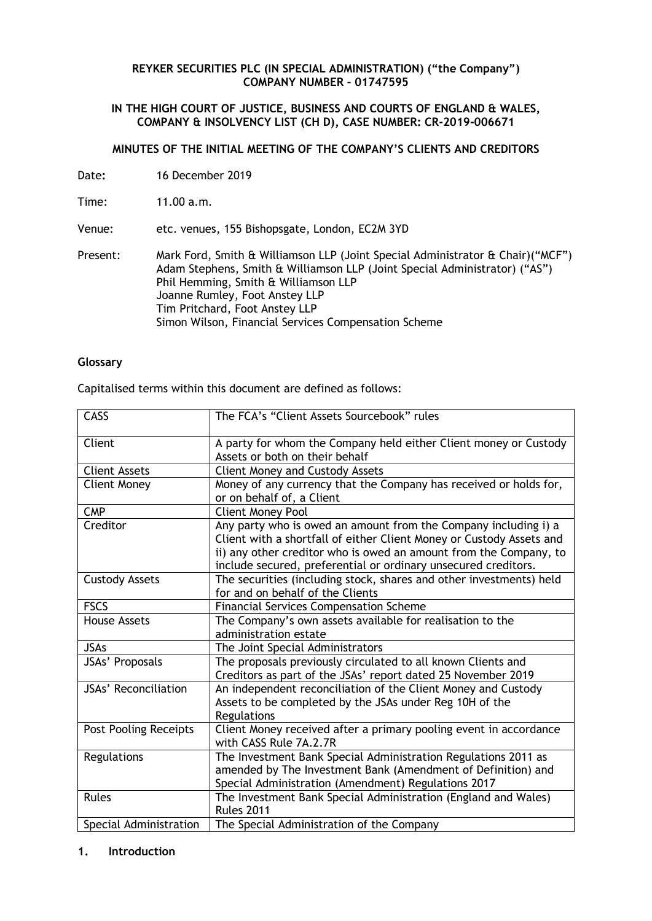#### **REYKER SECURITIES PLC (IN SPECIAL ADMINISTRATION) ("the Company") COMPANY NUMBER – 01747595**

### **IN THE HIGH COURT OF JUSTICE, BUSINESS AND COURTS OF ENGLAND & WALES, COMPANY & INSOLVENCY LIST (CH D), CASE NUMBER: CR-2019-006671**

## **MINUTES OF THE INITIAL MEETING OF THE COMPANY'S CLIENTS AND CREDITORS**

Date**:** 16 December 2019

Time: 11.00 a.m.

Venue: etc. venues, 155 Bishopsgate, London, EC2M 3YD

Present: Mark Ford, Smith & Williamson LLP (Joint Special Administrator & Chair)("MCF") Adam Stephens, Smith & Williamson LLP (Joint Special Administrator) ("AS") Phil Hemming, Smith & Williamson LLP Joanne Rumley, Foot Anstey LLP Tim Pritchard, Foot Anstey LLP Simon Wilson, Financial Services Compensation Scheme

# **Glossary**

Capitalised terms within this document are defined as follows:

| <b>CASS</b>                  | The FCA's "Client Assets Sourcebook" rules                                                                                                                                                                                                                                     |  |  |  |
|------------------------------|--------------------------------------------------------------------------------------------------------------------------------------------------------------------------------------------------------------------------------------------------------------------------------|--|--|--|
| Client                       | A party for whom the Company held either Client money or Custody<br>Assets or both on their behalf                                                                                                                                                                             |  |  |  |
| <b>Client Assets</b>         | <b>Client Money and Custody Assets</b>                                                                                                                                                                                                                                         |  |  |  |
| <b>Client Money</b>          | Money of any currency that the Company has received or holds for,<br>or on behalf of, a Client                                                                                                                                                                                 |  |  |  |
| <b>CMP</b>                   | <b>Client Money Pool</b>                                                                                                                                                                                                                                                       |  |  |  |
| Creditor                     | Any party who is owed an amount from the Company including i) a<br>Client with a shortfall of either Client Money or Custody Assets and<br>ii) any other creditor who is owed an amount from the Company, to<br>include secured, preferential or ordinary unsecured creditors. |  |  |  |
| <b>Custody Assets</b>        | The securities (including stock, shares and other investments) held<br>for and on behalf of the Clients                                                                                                                                                                        |  |  |  |
| <b>FSCS</b>                  | <b>Financial Services Compensation Scheme</b>                                                                                                                                                                                                                                  |  |  |  |
| <b>House Assets</b>          | The Company's own assets available for realisation to the<br>administration estate                                                                                                                                                                                             |  |  |  |
| <b>JSAs</b>                  | The Joint Special Administrators                                                                                                                                                                                                                                               |  |  |  |
| JSAs' Proposals              | The proposals previously circulated to all known Clients and<br>Creditors as part of the JSAs' report dated 25 November 2019                                                                                                                                                   |  |  |  |
| <b>JSAs' Reconciliation</b>  | An independent reconciliation of the Client Money and Custody<br>Assets to be completed by the JSAs under Reg 10H of the<br>Regulations                                                                                                                                        |  |  |  |
| <b>Post Pooling Receipts</b> | Client Money received after a primary pooling event in accordance<br>with CASS Rule 7A.2.7R                                                                                                                                                                                    |  |  |  |
| Regulations                  | The Investment Bank Special Administration Regulations 2011 as<br>amended by The Investment Bank (Amendment of Definition) and<br>Special Administration (Amendment) Regulations 2017                                                                                          |  |  |  |
| <b>Rules</b>                 | The Investment Bank Special Administration (England and Wales)<br><b>Rules 2011</b>                                                                                                                                                                                            |  |  |  |
| Special Administration       | The Special Administration of the Company                                                                                                                                                                                                                                      |  |  |  |

### **1. Introduction**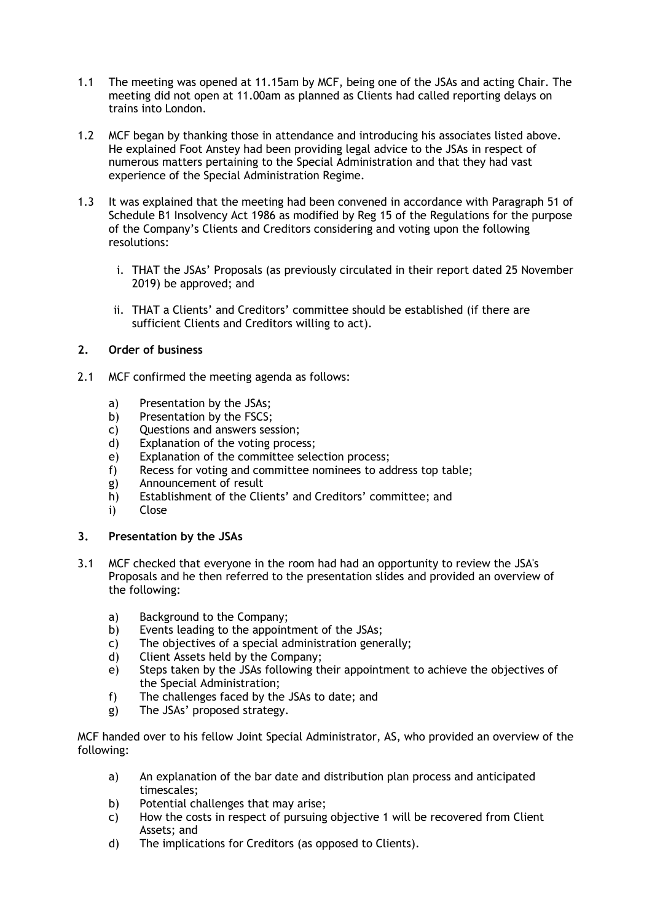- 1.1 The meeting was opened at 11.15am by MCF, being one of the JSAs and acting Chair. The meeting did not open at 11.00am as planned as Clients had called reporting delays on trains into London.
- 1.2 MCF began by thanking those in attendance and introducing his associates listed above. He explained Foot Anstey had been providing legal advice to the JSAs in respect of numerous matters pertaining to the Special Administration and that they had vast experience of the Special Administration Regime.
- 1.3 It was explained that the meeting had been convened in accordance with Paragraph 51 of Schedule B1 Insolvency Act 1986 as modified by Reg 15 of the Regulations for the purpose of the Company's Clients and Creditors considering and voting upon the following resolutions:
	- i. THAT the JSAs' Proposals (as previously circulated in their report dated 25 November 2019) be approved; and
	- ii. THAT a Clients' and Creditors' committee should be established (if there are sufficient Clients and Creditors willing to act).

# **2. Order of business**

- 2.1 MCF confirmed the meeting agenda as follows:
	- a) Presentation by the JSAs;
	- b) Presentation by the FSCS;
	- c) Questions and answers session;
	- d) Explanation of the voting process;
	- e) Explanation of the committee selection process;
	- f) Recess for voting and committee nominees to address top table;
	- g) Announcement of result
	- h) Establishment of the Clients' and Creditors' committee; and
	- i) Close

### **3. Presentation by the JSAs**

- 3.1 MCF checked that everyone in the room had had an opportunity to review the JSA's Proposals and he then referred to the presentation slides and provided an overview of the following:
	- a) Background to the Company;
	- b) Events leading to the appointment of the JSAs;
	- c) The objectives of a special administration generally;
	- d) Client Assets held by the Company;
	- e) Steps taken by the JSAs following their appointment to achieve the objectives of the Special Administration;
	- f) The challenges faced by the JSAs to date; and
	- g) The JSAs' proposed strategy.

MCF handed over to his fellow Joint Special Administrator, AS, who provided an overview of the following:

- a) An explanation of the bar date and distribution plan process and anticipated timescales;
- b) Potential challenges that may arise;
- c) How the costs in respect of pursuing objective 1 will be recovered from Client Assets; and
- d) The implications for Creditors (as opposed to Clients).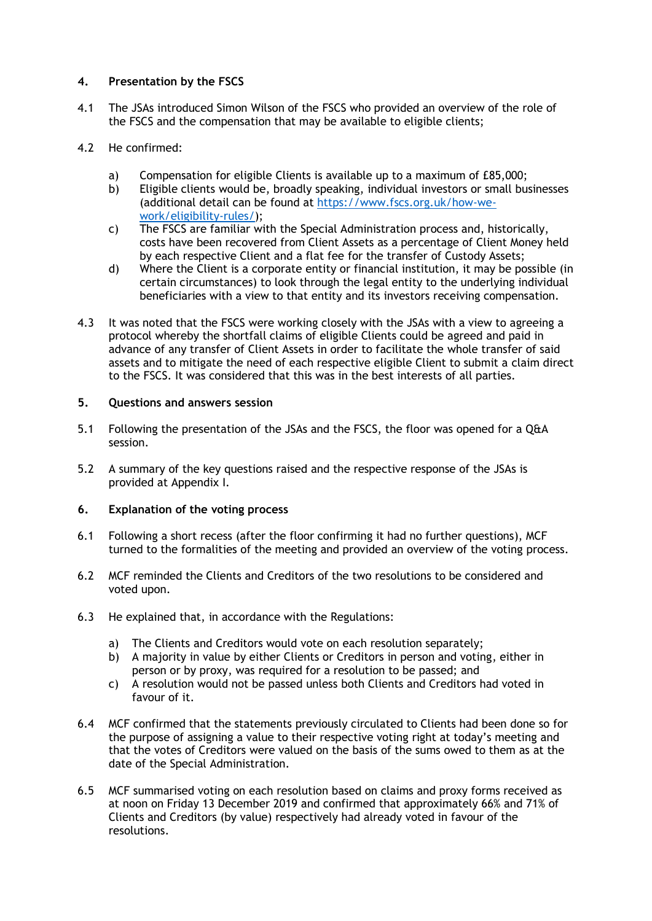# **4. Presentation by the FSCS**

- 4.1 The JSAs introduced Simon Wilson of the FSCS who provided an overview of the role of the FSCS and the compensation that may be available to eligible clients;
- 4.2 He confirmed:
	- a) Compensation for eligible Clients is available up to a maximum of £85,000;
	- b) Eligible clients would be, broadly speaking, individual investors or small businesses (additional detail can be found at [https://www.fscs.org.uk/how-we](https://protect-eu.mimecast.com/s/tYBNCjR00sl9jNocWH98l?domain=fscs.org.uk)[work/eligibility-rules/\)](https://protect-eu.mimecast.com/s/tYBNCjR00sl9jNocWH98l?domain=fscs.org.uk);
	- c) The FSCS are familiar with the Special Administration process and, historically, costs have been recovered from Client Assets as a percentage of Client Money held by each respective Client and a flat fee for the transfer of Custody Assets;
	- d) Where the Client is a corporate entity or financial institution, it may be possible (in certain circumstances) to look through the legal entity to the underlying individual beneficiaries with a view to that entity and its investors receiving compensation.
- 4.3 It was noted that the FSCS were working closely with the JSAs with a view to agreeing a protocol whereby the shortfall claims of eligible Clients could be agreed and paid in advance of any transfer of Client Assets in order to facilitate the whole transfer of said assets and to mitigate the need of each respective eligible Client to submit a claim direct to the FSCS. It was considered that this was in the best interests of all parties.

### **5. Questions and answers session**

- 5.1 Following the presentation of the JSAs and the FSCS, the floor was opened for a Q&A session.
- 5.2 A summary of the key questions raised and the respective response of the JSAs is provided at Appendix I.

### **6. Explanation of the voting process**

- 6.1 Following a short recess (after the floor confirming it had no further questions), MCF turned to the formalities of the meeting and provided an overview of the voting process.
- 6.2 MCF reminded the Clients and Creditors of the two resolutions to be considered and voted upon.
- 6.3 He explained that, in accordance with the Regulations:
	- a) The Clients and Creditors would vote on each resolution separately;
	- b) A majority in value by either Clients or Creditors in person and voting, either in person or by proxy, was required for a resolution to be passed; and
	- c) A resolution would not be passed unless both Clients and Creditors had voted in favour of it.
- 6.4 MCF confirmed that the statements previously circulated to Clients had been done so for the purpose of assigning a value to their respective voting right at today's meeting and that the votes of Creditors were valued on the basis of the sums owed to them as at the date of the Special Administration.
- 6.5 MCF summarised voting on each resolution based on claims and proxy forms received as at noon on Friday 13 December 2019 and confirmed that approximately 66% and 71% of Clients and Creditors (by value) respectively had already voted in favour of the resolutions.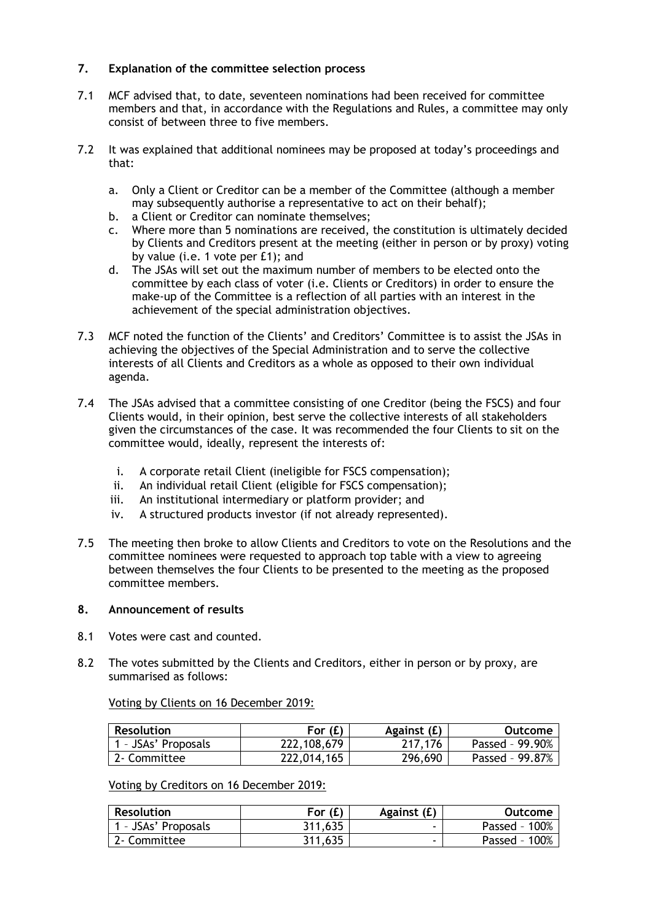# **7. Explanation of the committee selection process**

- 7.1 MCF advised that, to date, seventeen nominations had been received for committee members and that, in accordance with the Regulations and Rules, a committee may only consist of between three to five members.
- 7.2 It was explained that additional nominees may be proposed at today's proceedings and that:
	- a. Only a Client or Creditor can be a member of the Committee (although a member may subsequently authorise a representative to act on their behalf);
	- b. a Client or Creditor can nominate themselves;
	- c. Where more than 5 nominations are received, the constitution is ultimately decided by Clients and Creditors present at the meeting (either in person or by proxy) voting by value (i.e. 1 vote per £1); and
	- d. The JSAs will set out the maximum number of members to be elected onto the committee by each class of voter (i.e. Clients or Creditors) in order to ensure the make-up of the Committee is a reflection of all parties with an interest in the achievement of the special administration objectives.
- 7.3 MCF noted the function of the Clients' and Creditors' Committee is to assist the JSAs in achieving the objectives of the Special Administration and to serve the collective interests of all Clients and Creditors as a whole as opposed to their own individual agenda.
- 7.4 The JSAs advised that a committee consisting of one Creditor (being the FSCS) and four Clients would, in their opinion, best serve the collective interests of all stakeholders given the circumstances of the case. It was recommended the four Clients to sit on the committee would, ideally, represent the interests of:
	- i. A corporate retail Client (ineligible for FSCS compensation);
	- ii. An individual retail Client (eligible for FSCS compensation);
	- iii. An institutional intermediary or platform provider; and
	- iv. A structured products investor (if not already represented).
- 7.5 The meeting then broke to allow Clients and Creditors to vote on the Resolutions and the committee nominees were requested to approach top table with a view to agreeing between themselves the four Clients to be presented to the meeting as the proposed committee members.

### **8. Announcement of results**

- 8.1 Votes were cast and counted.
- 8.2 The votes submitted by the Clients and Creditors, either in person or by proxy, are summarised as follows:

Voting by Clients on 16 December 2019:

| <b>Resolution</b>   | For $(E)$   | Against (£) | Outcome         |
|---------------------|-------------|-------------|-----------------|
| 1 - JSAs' Proposals | 222,108,679 | 217,176     | Passed - 99.90% |
| 12- Committee       | 222,014,165 | 296,690     | Passed - 99.87% |

Voting by Creditors on 16 December 2019:

| <b>Resolution</b> | For (£) | Against (£) | Outcome          |
|-------------------|---------|-------------|------------------|
| - JSAs' Proposals | 311,635 | -           | Passed - 100%    |
| 2- Committee      | 311,635 | -           | 100%<br>Passed - |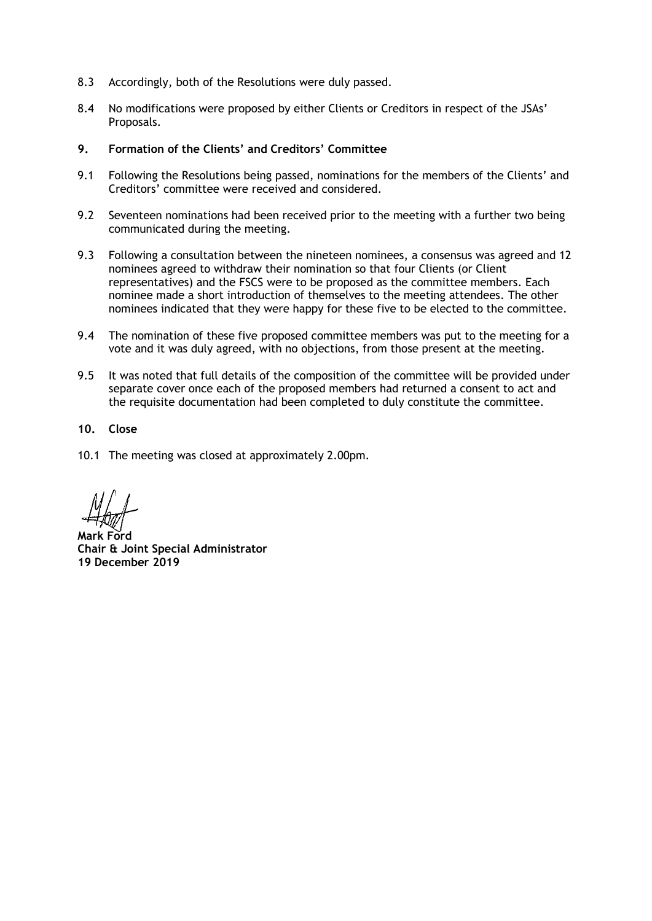- 8.3 Accordingly, both of the Resolutions were duly passed.
- 8.4 No modifications were proposed by either Clients or Creditors in respect of the JSAs' Proposals.
- **9. Formation of the Clients' and Creditors' Committee**
- 9.1 Following the Resolutions being passed, nominations for the members of the Clients' and Creditors' committee were received and considered.
- 9.2 Seventeen nominations had been received prior to the meeting with a further two being communicated during the meeting.
- 9.3 Following a consultation between the nineteen nominees, a consensus was agreed and 12 nominees agreed to withdraw their nomination so that four Clients (or Client representatives) and the FSCS were to be proposed as the committee members. Each nominee made a short introduction of themselves to the meeting attendees. The other nominees indicated that they were happy for these five to be elected to the committee.
- 9.4 The nomination of these five proposed committee members was put to the meeting for a vote and it was duly agreed, with no objections, from those present at the meeting.
- 9.5 It was noted that full details of the composition of the committee will be provided under separate cover once each of the proposed members had returned a consent to act and the requisite documentation had been completed to duly constitute the committee.
- **10. Close**
- 10.1 The meeting was closed at approximately 2.00pm.

**Mark Ford Chair & Joint Special Administrator 19 December 2019**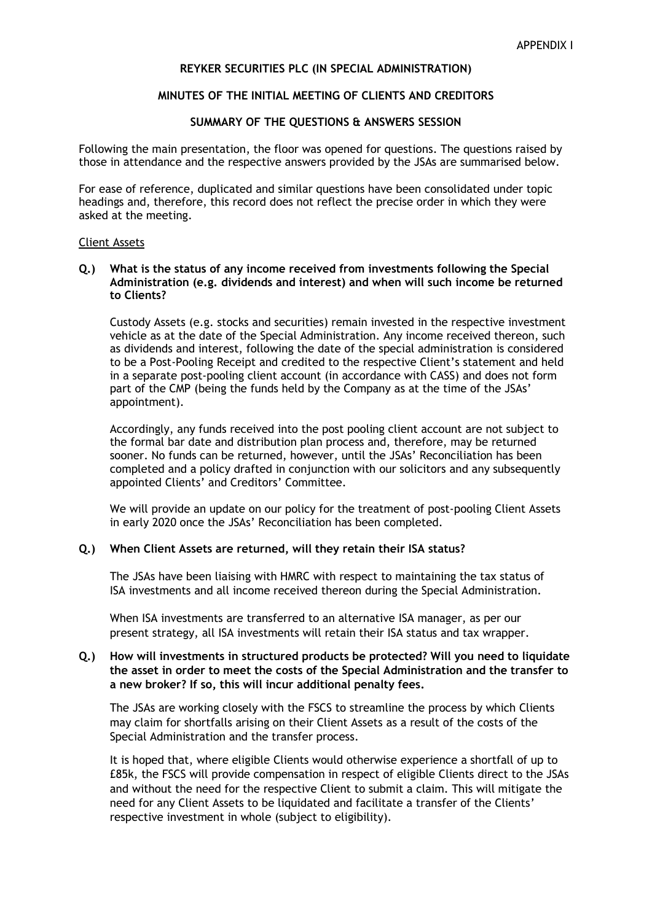# **REYKER SECURITIES PLC (IN SPECIAL ADMINISTRATION)**

### **MINUTES OF THE INITIAL MEETING OF CLIENTS AND CREDITORS**

### **SUMMARY OF THE QUESTIONS & ANSWERS SESSION**

Following the main presentation, the floor was opened for questions. The questions raised by those in attendance and the respective answers provided by the JSAs are summarised below.

For ease of reference, duplicated and similar questions have been consolidated under topic headings and, therefore, this record does not reflect the precise order in which they were asked at the meeting.

#### Client Assets

#### **Q.) What is the status of any income received from investments following the Special Administration (e.g. dividends and interest) and when will such income be returned to Clients?**

Custody Assets (e.g. stocks and securities) remain invested in the respective investment vehicle as at the date of the Special Administration. Any income received thereon, such as dividends and interest, following the date of the special administration is considered to be a Post-Pooling Receipt and credited to the respective Client's statement and held in a separate post-pooling client account (in accordance with CASS) and does not form part of the CMP (being the funds held by the Company as at the time of the JSAs' appointment).

Accordingly, any funds received into the post pooling client account are not subject to the formal bar date and distribution plan process and, therefore, may be returned sooner. No funds can be returned, however, until the JSAs' Reconciliation has been completed and a policy drafted in conjunction with our solicitors and any subsequently appointed Clients' and Creditors' Committee.

We will provide an update on our policy for the treatment of post-pooling Client Assets in early 2020 once the JSAs' Reconciliation has been completed.

### **Q.) When Client Assets are returned, will they retain their ISA status?**

The JSAs have been liaising with HMRC with respect to maintaining the tax status of ISA investments and all income received thereon during the Special Administration.

When ISA investments are transferred to an alternative ISA manager, as per our present strategy, all ISA investments will retain their ISA status and tax wrapper.

# **Q.) How will investments in structured products be protected? Will you need to liquidate the asset in order to meet the costs of the Special Administration and the transfer to a new broker? If so, this will incur additional penalty fees.**

The JSAs are working closely with the FSCS to streamline the process by which Clients may claim for shortfalls arising on their Client Assets as a result of the costs of the Special Administration and the transfer process.

It is hoped that, where eligible Clients would otherwise experience a shortfall of up to £85k, the FSCS will provide compensation in respect of eligible Clients direct to the JSAs and without the need for the respective Client to submit a claim. This will mitigate the need for any Client Assets to be liquidated and facilitate a transfer of the Clients' respective investment in whole (subject to eligibility).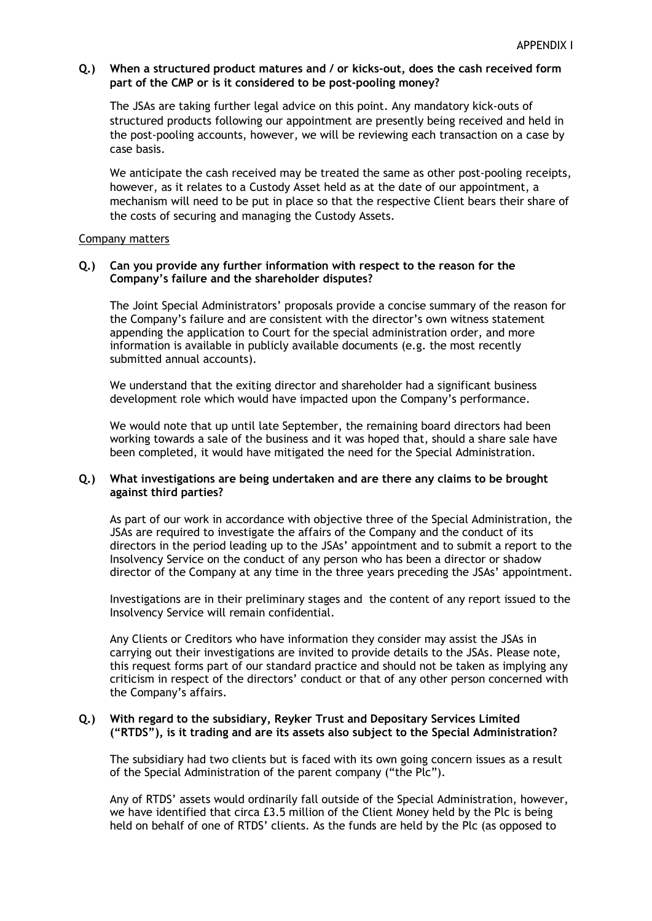### **Q.) When a structured product matures and / or kicks-out, does the cash received form part of the CMP or is it considered to be post-pooling money?**

The JSAs are taking further legal advice on this point. Any mandatory kick-outs of structured products following our appointment are presently being received and held in the post-pooling accounts, however, we will be reviewing each transaction on a case by case basis.

We anticipate the cash received may be treated the same as other post-pooling receipts, however, as it relates to a Custody Asset held as at the date of our appointment, a mechanism will need to be put in place so that the respective Client bears their share of the costs of securing and managing the Custody Assets.

#### Company matters

## **Q.) Can you provide any further information with respect to the reason for the Company's failure and the shareholder disputes?**

The Joint Special Administrators' proposals provide a concise summary of the reason for the Company's failure and are consistent with the director's own witness statement appending the application to Court for the special administration order, and more information is available in publicly available documents (e.g. the most recently submitted annual accounts).

We understand that the exiting director and shareholder had a significant business development role which would have impacted upon the Company's performance.

We would note that up until late September, the remaining board directors had been working towards a sale of the business and it was hoped that, should a share sale have been completed, it would have mitigated the need for the Special Administration.

### **Q.) What investigations are being undertaken and are there any claims to be brought against third parties?**

As part of our work in accordance with objective three of the Special Administration, the JSAs are required to investigate the affairs of the Company and the conduct of its directors in the period leading up to the JSAs' appointment and to submit a report to the Insolvency Service on the conduct of any person who has been a director or shadow director of the Company at any time in the three years preceding the JSAs' appointment.

Investigations are in their preliminary stages and the content of any report issued to the Insolvency Service will remain confidential.

Any Clients or Creditors who have information they consider may assist the JSAs in carrying out their investigations are invited to provide details to the JSAs. Please note, this request forms part of our standard practice and should not be taken as implying any criticism in respect of the directors' conduct or that of any other person concerned with the Company's affairs.

#### **Q.) With regard to the subsidiary, Reyker Trust and Depositary Services Limited ("RTDS"), is it trading and are its assets also subject to the Special Administration?**

The subsidiary had two clients but is faced with its own going concern issues as a result of the Special Administration of the parent company ("the Plc").

Any of RTDS' assets would ordinarily fall outside of the Special Administration, however, we have identified that circa £3.5 million of the Client Money held by the Plc is being held on behalf of one of RTDS' clients. As the funds are held by the Plc (as opposed to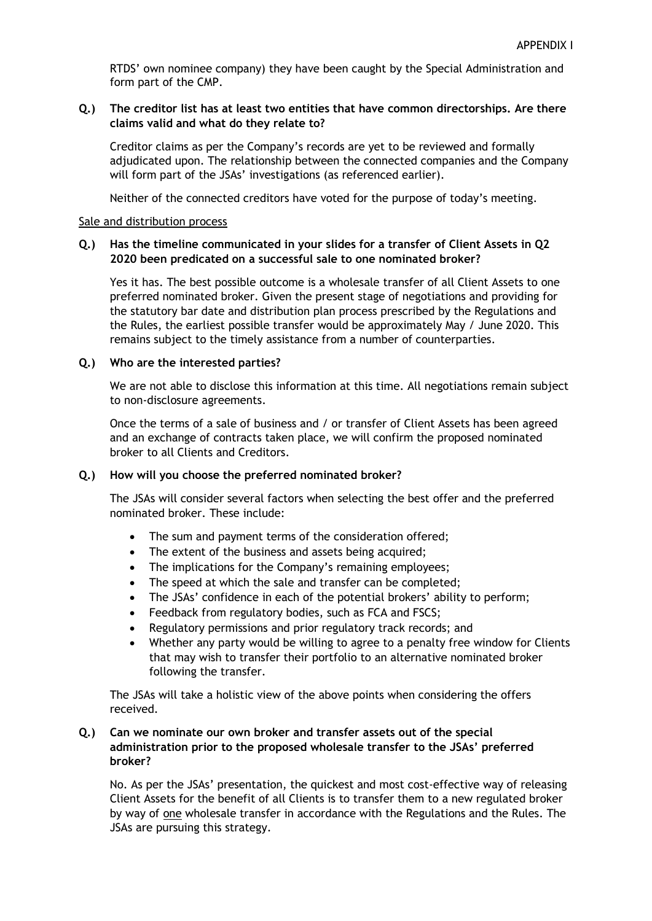RTDS' own nominee company) they have been caught by the Special Administration and form part of the CMP.

## **Q.) The creditor list has at least two entities that have common directorships. Are there claims valid and what do they relate to?**

Creditor claims as per the Company's records are yet to be reviewed and formally adjudicated upon. The relationship between the connected companies and the Company will form part of the JSAs' investigations (as referenced earlier).

Neither of the connected creditors have voted for the purpose of today's meeting.

### Sale and distribution process

# **Q.) Has the timeline communicated in your slides for a transfer of Client Assets in Q2 2020 been predicated on a successful sale to one nominated broker?**

Yes it has. The best possible outcome is a wholesale transfer of all Client Assets to one preferred nominated broker. Given the present stage of negotiations and providing for the statutory bar date and distribution plan process prescribed by the Regulations and the Rules, the earliest possible transfer would be approximately May / June 2020. This remains subject to the timely assistance from a number of counterparties.

### **Q.) Who are the interested parties?**

We are not able to disclose this information at this time. All negotiations remain subject to non-disclosure agreements.

Once the terms of a sale of business and / or transfer of Client Assets has been agreed and an exchange of contracts taken place, we will confirm the proposed nominated broker to all Clients and Creditors.

### **Q.) How will you choose the preferred nominated broker?**

The JSAs will consider several factors when selecting the best offer and the preferred nominated broker. These include:

- The sum and payment terms of the consideration offered;
- The extent of the business and assets being acquired;
- The implications for the Company's remaining employees;
- The speed at which the sale and transfer can be completed;
- The JSAs' confidence in each of the potential brokers' ability to perform;
- Feedback from regulatory bodies, such as FCA and FSCS;
- Regulatory permissions and prior regulatory track records; and
- Whether any party would be willing to agree to a penalty free window for Clients that may wish to transfer their portfolio to an alternative nominated broker following the transfer.

The JSAs will take a holistic view of the above points when considering the offers received.

# **Q.) Can we nominate our own broker and transfer assets out of the special administration prior to the proposed wholesale transfer to the JSAs' preferred broker?**

No. As per the JSAs' presentation, the quickest and most cost-effective way of releasing Client Assets for the benefit of all Clients is to transfer them to a new regulated broker by way of one wholesale transfer in accordance with the Regulations and the Rules. The JSAs are pursuing this strategy.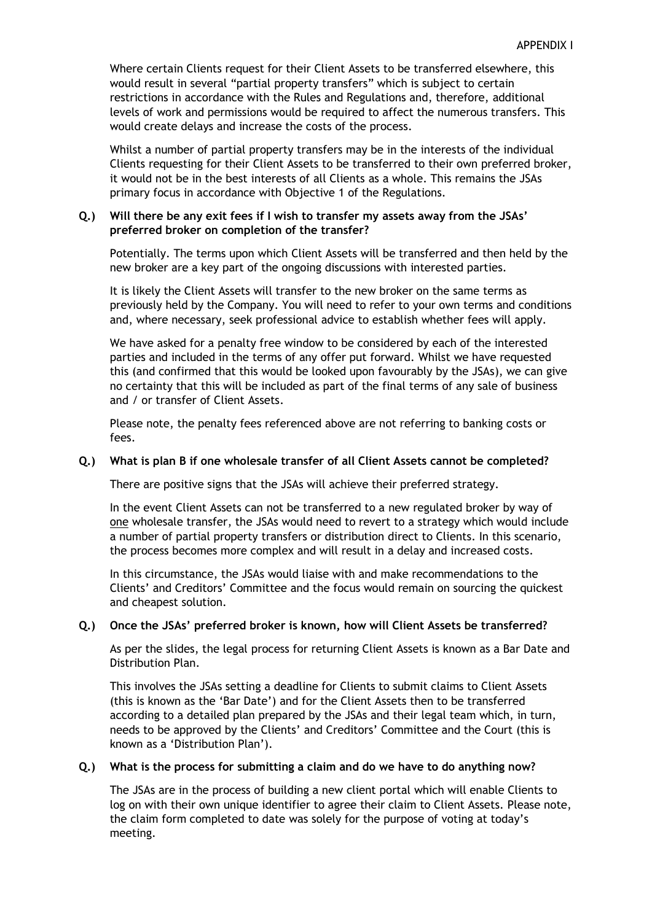Where certain Clients request for their Client Assets to be transferred elsewhere, this would result in several "partial property transfers" which is subject to certain restrictions in accordance with the Rules and Regulations and, therefore, additional levels of work and permissions would be required to affect the numerous transfers. This would create delays and increase the costs of the process.

Whilst a number of partial property transfers may be in the interests of the individual Clients requesting for their Client Assets to be transferred to their own preferred broker, it would not be in the best interests of all Clients as a whole. This remains the JSAs primary focus in accordance with Objective 1 of the Regulations.

# **Q.) Will there be any exit fees if I wish to transfer my assets away from the JSAs' preferred broker on completion of the transfer?**

Potentially. The terms upon which Client Assets will be transferred and then held by the new broker are a key part of the ongoing discussions with interested parties.

It is likely the Client Assets will transfer to the new broker on the same terms as previously held by the Company. You will need to refer to your own terms and conditions and, where necessary, seek professional advice to establish whether fees will apply.

We have asked for a penalty free window to be considered by each of the interested parties and included in the terms of any offer put forward. Whilst we have requested this (and confirmed that this would be looked upon favourably by the JSAs), we can give no certainty that this will be included as part of the final terms of any sale of business and / or transfer of Client Assets.

Please note, the penalty fees referenced above are not referring to banking costs or fees.

## **Q.) What is plan B if one wholesale transfer of all Client Assets cannot be completed?**

There are positive signs that the JSAs will achieve their preferred strategy.

In the event Client Assets can not be transferred to a new regulated broker by way of one wholesale transfer, the JSAs would need to revert to a strategy which would include a number of partial property transfers or distribution direct to Clients. In this scenario, the process becomes more complex and will result in a delay and increased costs.

In this circumstance, the JSAs would liaise with and make recommendations to the Clients' and Creditors' Committee and the focus would remain on sourcing the quickest and cheapest solution.

### **Q.) Once the JSAs' preferred broker is known, how will Client Assets be transferred?**

As per the slides, the legal process for returning Client Assets is known as a Bar Date and Distribution Plan.

This involves the JSAs setting a deadline for Clients to submit claims to Client Assets (this is known as the 'Bar Date') and for the Client Assets then to be transferred according to a detailed plan prepared by the JSAs and their legal team which, in turn, needs to be approved by the Clients' and Creditors' Committee and the Court (this is known as a 'Distribution Plan').

# **Q.) What is the process for submitting a claim and do we have to do anything now?**

The JSAs are in the process of building a new client portal which will enable Clients to log on with their own unique identifier to agree their claim to Client Assets. Please note, the claim form completed to date was solely for the purpose of voting at today's meeting.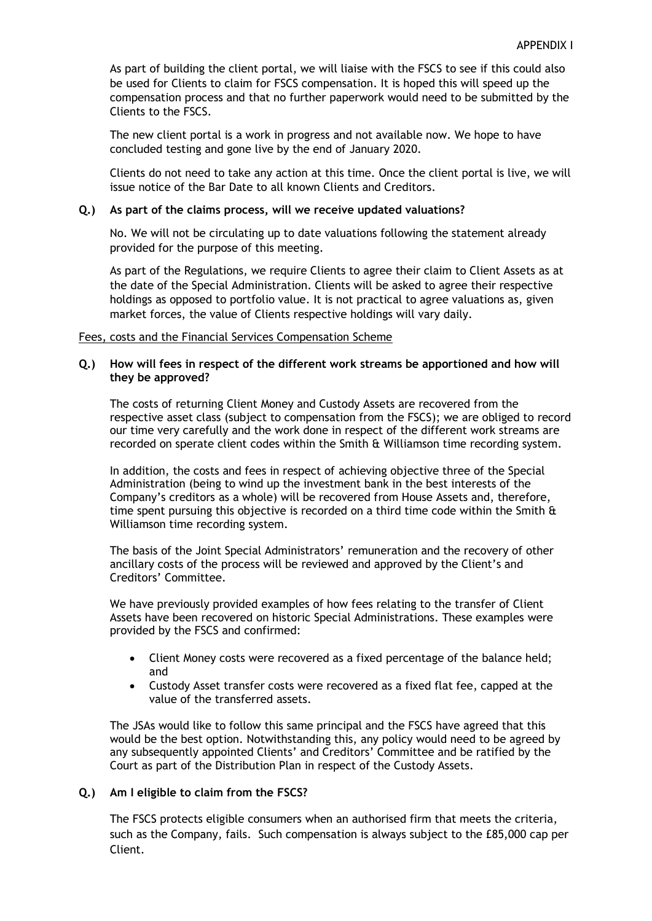As part of building the client portal, we will liaise with the FSCS to see if this could also be used for Clients to claim for FSCS compensation. It is hoped this will speed up the compensation process and that no further paperwork would need to be submitted by the Clients to the FSCS.

The new client portal is a work in progress and not available now. We hope to have concluded testing and gone live by the end of January 2020.

Clients do not need to take any action at this time. Once the client portal is live, we will issue notice of the Bar Date to all known Clients and Creditors.

## **Q.) As part of the claims process, will we receive updated valuations?**

No. We will not be circulating up to date valuations following the statement already provided for the purpose of this meeting.

As part of the Regulations, we require Clients to agree their claim to Client Assets as at the date of the Special Administration. Clients will be asked to agree their respective holdings as opposed to portfolio value. It is not practical to agree valuations as, given market forces, the value of Clients respective holdings will vary daily.

### Fees, costs and the Financial Services Compensation Scheme

## **Q.) How will fees in respect of the different work streams be apportioned and how will they be approved?**

The costs of returning Client Money and Custody Assets are recovered from the respective asset class (subject to compensation from the FSCS); we are obliged to record our time very carefully and the work done in respect of the different work streams are recorded on sperate client codes within the Smith & Williamson time recording system.

In addition, the costs and fees in respect of achieving objective three of the Special Administration (being to wind up the investment bank in the best interests of the Company's creditors as a whole) will be recovered from House Assets and, therefore, time spent pursuing this objective is recorded on a third time code within the Smith & Williamson time recording system.

The basis of the Joint Special Administrators' remuneration and the recovery of other ancillary costs of the process will be reviewed and approved by the Client's and Creditors' Committee.

We have previously provided examples of how fees relating to the transfer of Client Assets have been recovered on historic Special Administrations. These examples were provided by the FSCS and confirmed:

- Client Money costs were recovered as a fixed percentage of the balance held; and
- Custody Asset transfer costs were recovered as a fixed flat fee, capped at the value of the transferred assets.

The JSAs would like to follow this same principal and the FSCS have agreed that this would be the best option. Notwithstanding this, any policy would need to be agreed by any subsequently appointed Clients' and Creditors' Committee and be ratified by the Court as part of the Distribution Plan in respect of the Custody Assets.

### **Q.) Am I eligible to claim from the FSCS?**

The FSCS protects eligible consumers when an authorised firm that meets the criteria, such as the Company, fails. Such compensation is always subject to the £85,000 cap per Client.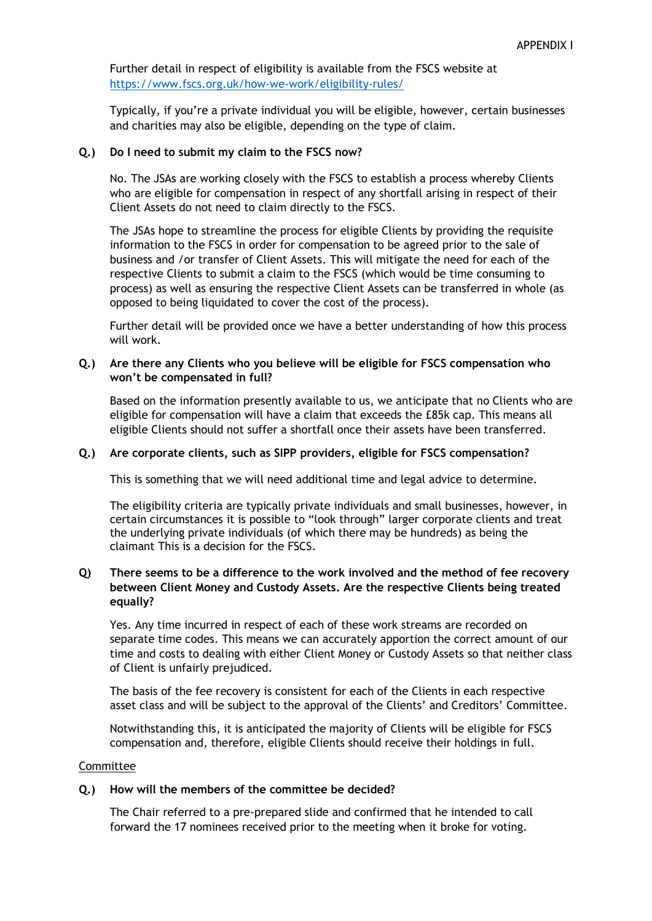Further detail in respect of eligibility is available from the FSCS website at <https://www.fscs.org.uk/how-we-work/eligibility-rules/>

Typically, if you're a private individual you will be eligible, however, certain businesses and charities may also be eligible, depending on the type of claim.

# **Q.) Do I need to submit my claim to the FSCS now?**

No. The JSAs are working closely with the FSCS to establish a process whereby Clients who are eligible for compensation in respect of any shortfall arising in respect of their Client Assets do not need to claim directly to the FSCS.

The JSAs hope to streamline the process for eligible Clients by providing the requisite information to the FSCS in order for compensation to be agreed prior to the sale of business and /or transfer of Client Assets. This will mitigate the need for each of the respective Clients to submit a claim to the FSCS (which would be time consuming to process) as well as ensuring the respective Client Assets can be transferred in whole (as opposed to being liquidated to cover the cost of the process).

Further detail will be provided once we have a better understanding of how this process will work.

# **Q.) Are there any Clients who you believe will be eligible for FSCS compensation who won't be compensated in full?**

Based on the information presently available to us, we anticipate that no Clients who are eligible for compensation will have a claim that exceeds the £85k cap. This means all eligible Clients should not suffer a shortfall once their assets have been transferred.

# **Q.) Are corporate clients, such as SIPP providers, eligible for FSCS compensation?**

This is something that we will need additional time and legal advice to determine.

The eligibility criteria are typically private individuals and small businesses, however, in certain circumstances it is possible to "look through" larger corporate clients and treat the underlying private individuals (of which there may be hundreds) as being the claimant This is a decision for the FSCS.

## **Q) There seems to be a difference to the work involved and the method of fee recovery between Client Money and Custody Assets. Are the respective Clients being treated equally?**

Yes. Any time incurred in respect of each of these work streams are recorded on separate time codes. This means we can accurately apportion the correct amount of our time and costs to dealing with either Client Money or Custody Assets so that neither class of Client is unfairly prejudiced.

The basis of the fee recovery is consistent for each of the Clients in each respective asset class and will be subject to the approval of the Clients' and Creditors' Committee.

Notwithstanding this, it is anticipated the majority of Clients will be eligible for FSCS compensation and, therefore, eligible Clients should receive their holdings in full.

### Committee

### **Q.) How will the members of the committee be decided?**

The Chair referred to a pre-prepared slide and confirmed that he intended to call forward the 17 nominees received prior to the meeting when it broke for voting.